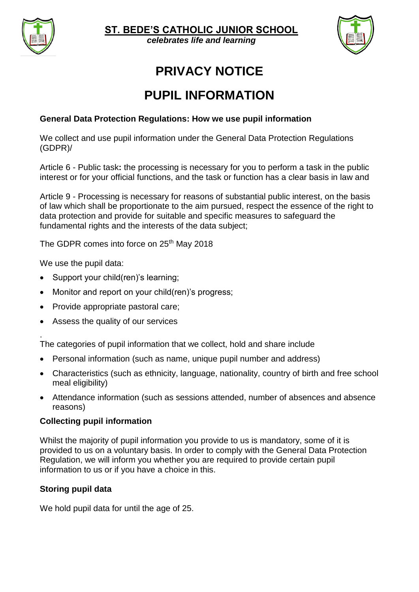

**ST. BEDE'S CATHOLIC JUNIOR SCHOOL**

 $c$ elebrates life and learning



# **PRIVACY NOTICE**

## **PUPIL INFORMATION**

## **General Data Protection Regulations: How we use pupil information**

We collect and use pupil information under the General Data Protection Regulations (GDPR)/

Article 6 - Public task**:** the processing is necessary for you to perform a task in the public interest or for your official functions, and the task or function has a clear basis in law and

Article 9 - Processing is necessary for reasons of substantial public interest, on the basis of law which shall be proportionate to the aim pursued, respect the essence of the right to data protection and provide for suitable and specific measures to safeguard the fundamental rights and the interests of the data subject;

The GDPR comes into force on 25<sup>th</sup> May 2018

We use the pupil data:

- Support your child(ren)'s learning;
- Monitor and report on your child(ren)'s progress;
- Provide appropriate pastoral care;
- Assess the quality of our services

. The categories of pupil information that we collect, hold and share include

- Personal information (such as name, unique pupil number and address)
- Characteristics (such as ethnicity, language, nationality, country of birth and free school meal eligibility)
- Attendance information (such as sessions attended, number of absences and absence reasons)

#### **Collecting pupil information**

Whilst the majority of pupil information you provide to us is mandatory, some of it is provided to us on a voluntary basis. In order to comply with the General Data Protection Regulation, we will inform you whether you are required to provide certain pupil information to us or if you have a choice in this.

#### **Storing pupil data**

We hold pupil data for until the age of 25.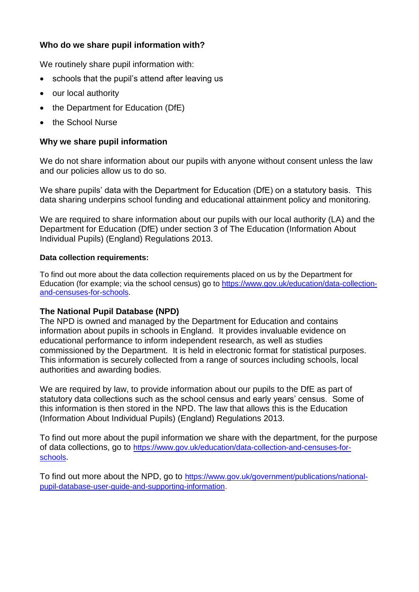## **Who do we share pupil information with?**

We routinely share pupil information with:

- schools that the pupil's attend after leaving us
- our local authority
- the Department for Education (DfE)
- the School Nurse

## **Why we share pupil information**

We do not share information about our pupils with anyone without consent unless the law and our policies allow us to do so.

We share pupils' data with the Department for Education (DfE) on a statutory basis. This data sharing underpins school funding and educational attainment policy and monitoring.

We are required to share information about our pupils with our local authority (LA) and the Department for Education (DfE) under section 3 of The Education (Information About Individual Pupils) (England) Regulations 2013.

#### **Data collection requirements:**

To find out more about the data collection requirements placed on us by the Department for Education (for example; via the school census) go to [https://www.gov.uk/education/data-collection](https://www.gov.uk/education/data-collection-and-censuses-for-schools)[and-censuses-for-schools.](https://www.gov.uk/education/data-collection-and-censuses-for-schools)

## **The National Pupil Database (NPD)**

The NPD is owned and managed by the Department for Education and contains information about pupils in schools in England. It provides invaluable evidence on educational performance to inform independent research, as well as studies commissioned by the Department. It is held in electronic format for statistical purposes. This information is securely collected from a range of sources including schools, local authorities and awarding bodies.

We are required by law, to provide information about our pupils to the DfE as part of statutory data collections such as the school census and early years' census. Some of this information is then stored in the NPD. The law that allows this is the Education (Information About Individual Pupils) (England) Regulations 2013.

To find out more about the pupil information we share with the department, for the purpose of data collections, go to [https://www.gov.uk/education/data-collection-and-censuses-for](https://www.gov.uk/education/data-collection-and-censuses-for-schools)[schools](https://www.gov.uk/education/data-collection-and-censuses-for-schools).

To find out more about the NPD, go to [https://www.gov.uk/government/publications/national](https://www.gov.uk/government/publications/national-pupil-database-user-guide-and-supporting-information)[pupil-database-user-guide-and-supporting-information](https://www.gov.uk/government/publications/national-pupil-database-user-guide-and-supporting-information).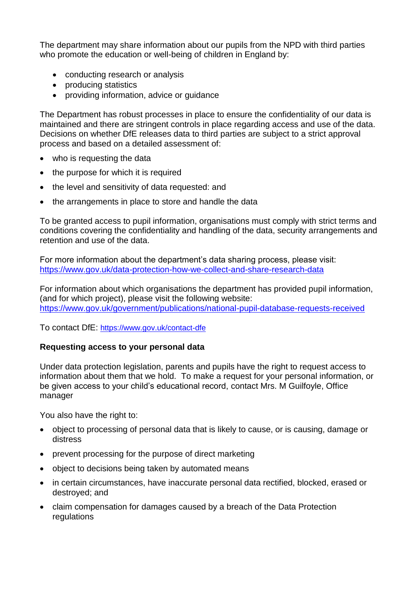The department may share information about our pupils from the NPD with third parties who promote the education or well-being of children in England by:

- conducting research or analysis
- producing statistics
- providing information, advice or guidance

The Department has robust processes in place to ensure the confidentiality of our data is maintained and there are stringent controls in place regarding access and use of the data. Decisions on whether DfE releases data to third parties are subject to a strict approval process and based on a detailed assessment of:

- who is requesting the data
- the purpose for which it is required
- the level and sensitivity of data requested: and
- the arrangements in place to store and handle the data

To be granted access to pupil information, organisations must comply with strict terms and conditions covering the confidentiality and handling of the data, security arrangements and retention and use of the data.

For more information about the department's data sharing process, please visit: <https://www.gov.uk/data-protection-how-we-collect-and-share-research-data>

For information about which organisations the department has provided pupil information, (and for which project), please visit the following website: <https://www.gov.uk/government/publications/national-pupil-database-requests-received>

To contact DfE: <https://www.gov.uk/contact-dfe>

#### **Requesting access to your personal data**

Under data protection legislation, parents and pupils have the right to request access to information about them that we hold. To make a request for your personal information, or be given access to your child's educational record, contact Mrs. M Guilfoyle, Office manager

You also have the right to:

- object to processing of personal data that is likely to cause, or is causing, damage or distress
- prevent processing for the purpose of direct marketing
- object to decisions being taken by automated means
- in certain circumstances, have inaccurate personal data rectified, blocked, erased or destroyed; and
- claim compensation for damages caused by a breach of the Data Protection regulations